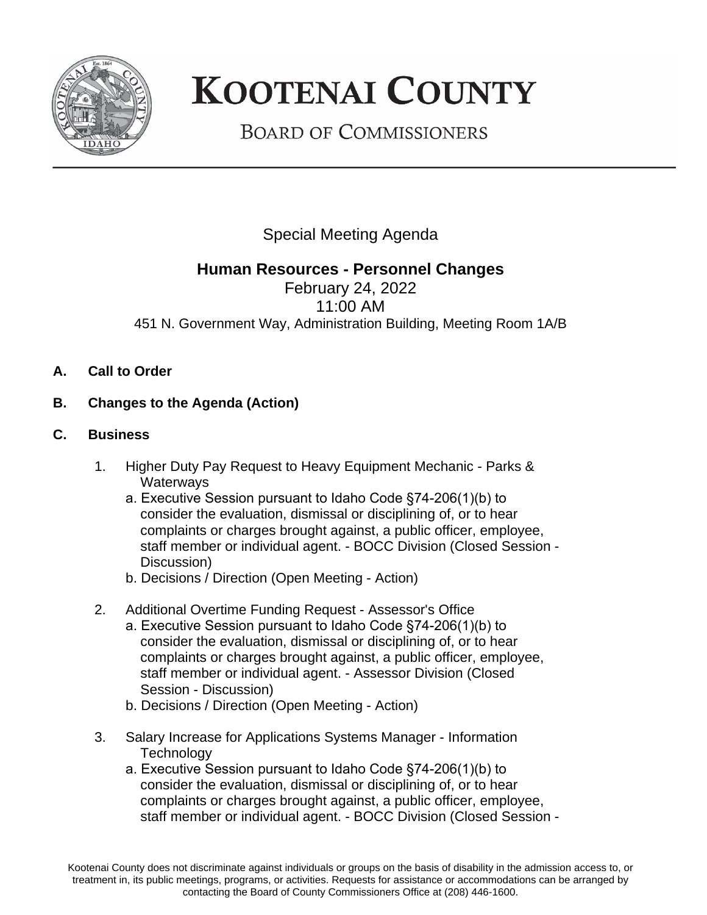

## **KOOTENAI COUNTY**

**BOARD OF COMMISSIONERS** 

Special Meeting Agenda

## **Human Resources - Personnel Changes**

February 24, 2022 11:00 AM 451 N. Government Way, Administration Building, Meeting Room 1A/B

- **A. Call to Order**
- **B. Changes to the Agenda (Action)**
- **C. Business**
	- 1. Higher Duty Pay Request to Heavy Equipment Mechanic Parks & **Waterways** 
		- a. Executive Session pursuant to Idaho Code §74-206(1)(b) to consider the evaluation, dismissal or disciplining of, or to hear complaints or charges brought against, a public officer, employee, staff member or individual agent. - BOCC Division (Closed Session - Discussion)
		- b. Decisions / Direction (Open Meeting Action)
	- 2. Additional Overtime Funding Request Assessor's Office
		- a. Executive Session pursuant to Idaho Code §74-206(1)(b) to consider the evaluation, dismissal or disciplining of, or to hear complaints or charges brought against, a public officer, employee, staff member or individual agent. - Assessor Division (Closed Session - Discussion)
		- b. Decisions / Direction (Open Meeting Action)
	- 3. Salary Increase for Applications Systems Manager Information **Technology** 
		- a. Executive Session pursuant to Idaho Code §74-206(1)(b) to consider the evaluation, dismissal or disciplining of, or to hear complaints or charges brought against, a public officer, employee, staff member or individual agent. - BOCC Division (Closed Session -

Kootenai County does not discriminate against individuals or groups on the basis of disability in the admission access to, or treatment in, its public meetings, programs, or activities. Requests for assistance or accommodations can be arranged by contacting the Board of County Commissioners Office at (208) 446-1600.